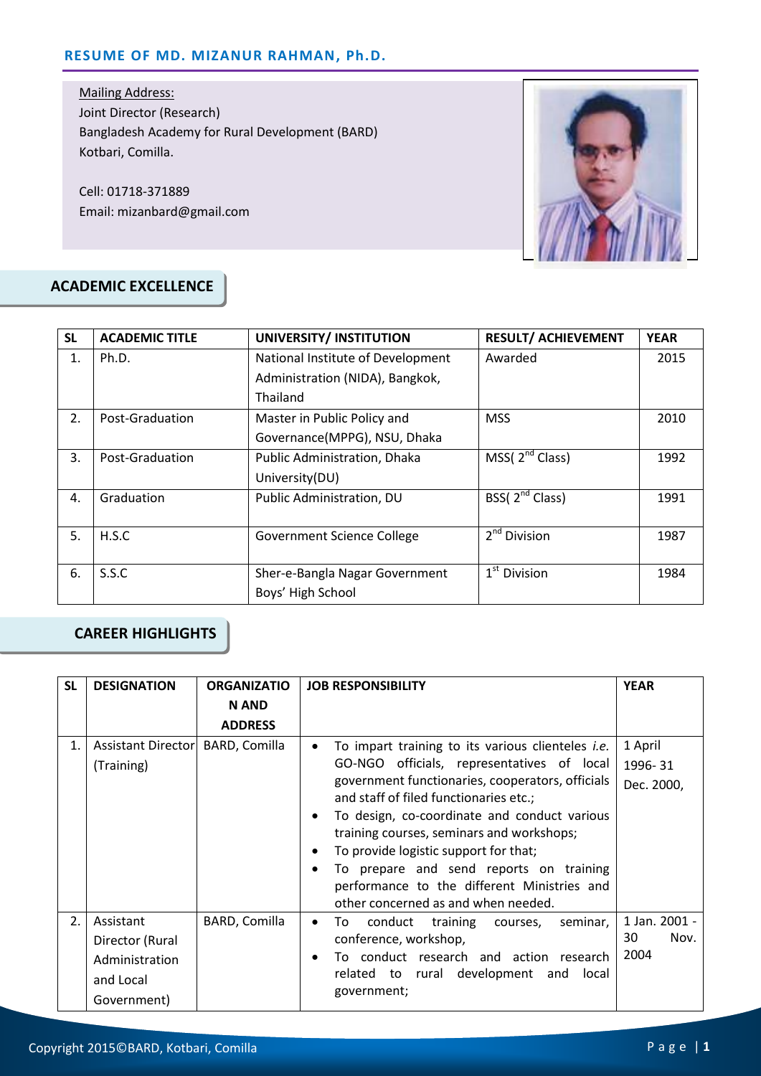Mailing Address: Joint Director (Research) Bangladesh Academy for Rural Development (BARD) Kotbari, Comilla.

Cell: 01718-371889 Email: mizanbard@gmail.com



#### **ACADEMIC EXCELLENCE**

| <b>SL</b> | <b>ACADEMIC TITLE</b> | UNIVERSITY/ INSTITUTION                      | <b>RESULT/ ACHIEVEMENT</b> | <b>YEAR</b> |
|-----------|-----------------------|----------------------------------------------|----------------------------|-------------|
| 1.        | Ph.D.                 | National Institute of Development<br>Awarded |                            | 2015        |
|           |                       | Administration (NIDA), Bangkok,              |                            |             |
|           |                       | Thailand                                     |                            |             |
| 2.        | Post-Graduation       | Master in Public Policy and                  | <b>MSS</b>                 | 2010        |
|           |                       | Governance(MPPG), NSU, Dhaka                 |                            |             |
| 3.        | Post-Graduation       | Public Administration, Dhaka                 | MSS $(2^{nd}$ Class)       | 1992        |
|           |                       | University(DU)                               |                            |             |
| 4.        | Graduation            | Public Administration, DU                    | BSS(2 <sup>nd</sup> Class) | 1991        |
|           |                       |                                              |                            |             |
| 5.        | H.S.C                 | Government Science College                   | 2 <sup>nd</sup> Division   | 1987        |
|           |                       |                                              |                            |             |
| 6.        | S.S.C                 | Sher-e-Bangla Nagar Government               | $1st$ Division             | 1984        |
|           |                       | Boys' High School                            |                            |             |

### **CAREER HIGHLIGHTS**

| <b>SL</b> | <b>DESIGNATION</b>                                                         | <b>ORGANIZATIO</b> | <b>JOB RESPONSIBILITY</b>                                                                                                                                                                                                                                                                                                                                                                                                                                                   | <b>YEAR</b>                         |
|-----------|----------------------------------------------------------------------------|--------------------|-----------------------------------------------------------------------------------------------------------------------------------------------------------------------------------------------------------------------------------------------------------------------------------------------------------------------------------------------------------------------------------------------------------------------------------------------------------------------------|-------------------------------------|
|           |                                                                            | <b>N AND</b>       |                                                                                                                                                                                                                                                                                                                                                                                                                                                                             |                                     |
|           |                                                                            | <b>ADDRESS</b>     |                                                                                                                                                                                                                                                                                                                                                                                                                                                                             |                                     |
| 1.        | Assistant Director<br>(Training)                                           | BARD, Comilla      | To impart training to its various clienteles <i>i.e.</i><br>GO-NGO officials, representatives of local<br>government functionaries, cooperators, officials<br>and staff of filed functionaries etc.;<br>To design, co-coordinate and conduct various<br>training courses, seminars and workshops;<br>To provide logistic support for that;<br>To prepare and send reports on training<br>performance to the different Ministries and<br>other concerned as and when needed. | 1 April<br>1996-31<br>Dec. 2000,    |
| 2.        | Assistant<br>Director (Rural<br>Administration<br>and Local<br>Government) | BARD, Comilla      | conduct training courses,<br>seminar,<br>To<br>$\bullet$<br>conference, workshop,<br>To conduct research and action research<br>related to rural development and<br>local<br>government;                                                                                                                                                                                                                                                                                    | 1 Jan. 2001 -<br>30<br>Nov.<br>2004 |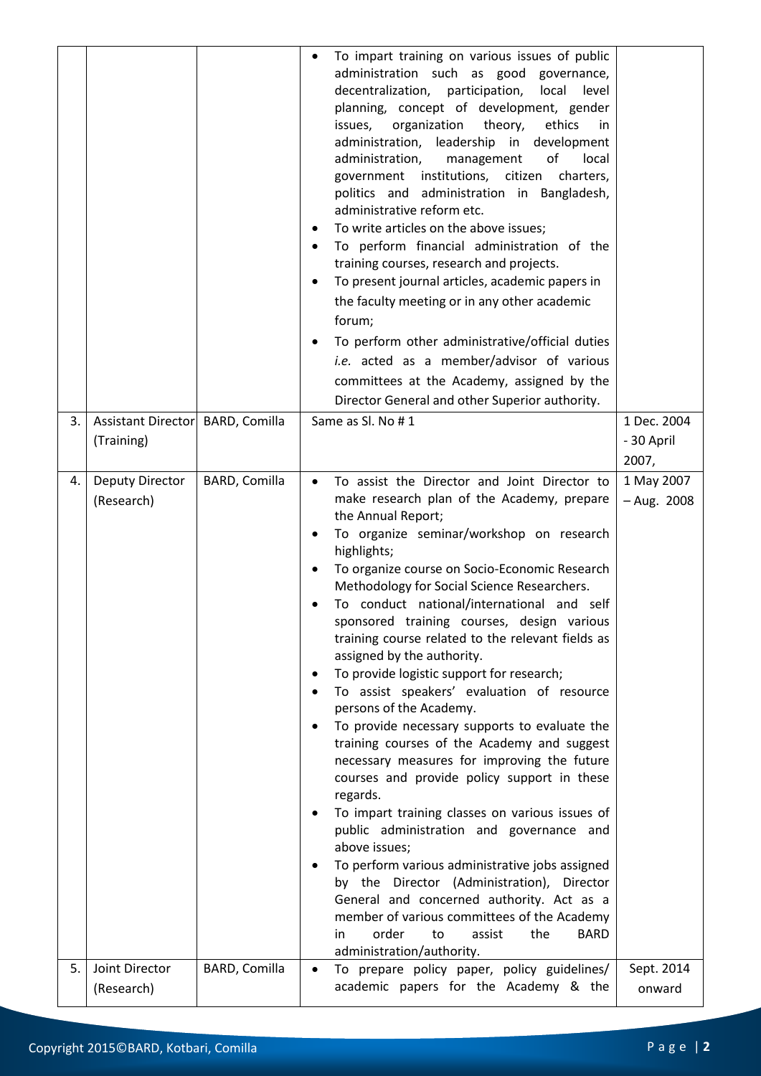|    |                                  |               | To impart training on various issues of public<br>administration such as good governance,<br>decentralization, participation,<br>local<br>level<br>planning, concept of development, gender<br>organization<br>theory,<br>ethics<br>issues,<br>in.<br>administration, leadership in development<br>administration,<br>οf<br>management<br>local<br>government institutions, citizen<br>charters,<br>politics and administration in Bangladesh,<br>administrative reform etc.<br>To write articles on the above issues;<br>To perform financial administration of the<br>training courses, research and projects.<br>To present journal articles, academic papers in<br>the faculty meeting or in any other academic<br>forum;<br>To perform other administrative/official duties<br><i>i.e.</i> acted as a member/advisor of various<br>committees at the Academy, assigned by the<br>Director General and other Superior authority.                                                                                                                                                                                                                                                      |                                    |
|----|----------------------------------|---------------|-------------------------------------------------------------------------------------------------------------------------------------------------------------------------------------------------------------------------------------------------------------------------------------------------------------------------------------------------------------------------------------------------------------------------------------------------------------------------------------------------------------------------------------------------------------------------------------------------------------------------------------------------------------------------------------------------------------------------------------------------------------------------------------------------------------------------------------------------------------------------------------------------------------------------------------------------------------------------------------------------------------------------------------------------------------------------------------------------------------------------------------------------------------------------------------------|------------------------------------|
| 3. | Assistant Director<br>(Training) | BARD, Comilla | Same as SI. No #1                                                                                                                                                                                                                                                                                                                                                                                                                                                                                                                                                                                                                                                                                                                                                                                                                                                                                                                                                                                                                                                                                                                                                                         | 1 Dec. 2004<br>- 30 April<br>2007, |
| 4. | Deputy Director<br>(Research)    | BARD, Comilla | To assist the Director and Joint Director to<br>make research plan of the Academy, prepare<br>the Annual Report;<br>To organize seminar/workshop on research<br>highlights;<br>To organize course on Socio-Economic Research<br>Methodology for Social Science Researchers.<br>To conduct national/international and self<br>sponsored training courses, design various<br>training course related to the relevant fields as<br>assigned by the authority.<br>To provide logistic support for research;<br>To assist speakers' evaluation of resource<br>persons of the Academy.<br>To provide necessary supports to evaluate the<br>training courses of the Academy and suggest<br>necessary measures for improving the future<br>courses and provide policy support in these<br>regards.<br>To impart training classes on various issues of<br>public administration and governance and<br>above issues;<br>To perform various administrative jobs assigned<br>by the Director (Administration), Director<br>General and concerned authority. Act as a<br>member of various committees of the Academy<br>order<br>in<br>to<br>assist<br>the<br><b>BARD</b><br>administration/authority. | 1 May 2007<br>$-$ Aug. 2008        |
| 5. | Joint Director<br>(Research)     | BARD, Comilla | To prepare policy paper, policy guidelines/<br>academic papers for the Academy & the                                                                                                                                                                                                                                                                                                                                                                                                                                                                                                                                                                                                                                                                                                                                                                                                                                                                                                                                                                                                                                                                                                      | Sept. 2014<br>onward               |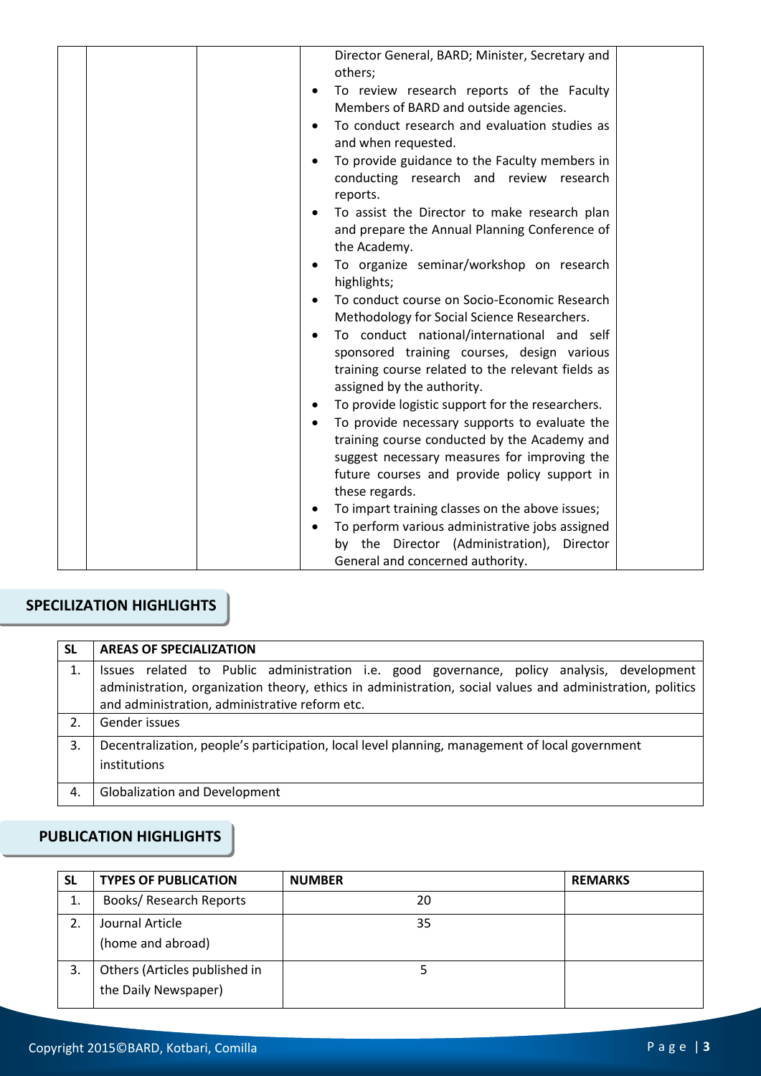| Director General, BARD; Minister, Secretary and<br>others;                                    |
|-----------------------------------------------------------------------------------------------|
| To review research reports of the Faculty<br>Members of BARD and outside agencies.            |
| To conduct research and evaluation studies as                                                 |
| and when requested.                                                                           |
| To provide guidance to the Faculty members in                                                 |
| conducting research and review research<br>reports.                                           |
| To assist the Director to make research plan                                                  |
| and prepare the Annual Planning Conference of<br>the Academy.                                 |
| To organize seminar/workshop on research<br>highlights;                                       |
| To conduct course on Socio-Economic Research                                                  |
| Methodology for Social Science Researchers.                                                   |
| To conduct national/international and self                                                    |
| sponsored training courses, design various                                                    |
| training course related to the relevant fields as                                             |
| assigned by the authority.                                                                    |
| To provide logistic support for the researchers.                                              |
| To provide necessary supports to evaluate the<br>training course conducted by the Academy and |
| suggest necessary measures for improving the                                                  |
| future courses and provide policy support in                                                  |
| these regards.                                                                                |
| To impart training classes on the above issues;                                               |
| To perform various administrative jobs assigned                                               |
| by the Director (Administration),<br>Director                                                 |
| General and concerned authority.                                                              |

## **SPECILIZATION HIGHLIGHTS**

| <b>SL</b> | <b>AREAS OF SPECIALIZATION</b>                                                                                                                                                                                                                            |  |
|-----------|-----------------------------------------------------------------------------------------------------------------------------------------------------------------------------------------------------------------------------------------------------------|--|
|           | Issues related to Public administration i.e. good governance, policy analysis, development<br>administration, organization theory, ethics in administration, social values and administration, politics<br>and administration, administrative reform etc. |  |
| 2.        | Gender issues                                                                                                                                                                                                                                             |  |
| 3.        | Decentralization, people's participation, local level planning, management of local government<br>institutions                                                                                                                                            |  |
| 4.        | <b>Globalization and Development</b>                                                                                                                                                                                                                      |  |

# **PUBLICATION HIGHLIGHTS**

| <b>SL</b> | <b>TYPES OF PUBLICATION</b>                           | <b>NUMBER</b> | <b>REMARKS</b> |
|-----------|-------------------------------------------------------|---------------|----------------|
| 1.        | Books/ Research Reports                               | 20            |                |
| 2.        | Journal Article<br>(home and abroad)                  | 35            |                |
| 3.        | Others (Articles published in<br>the Daily Newspaper) |               |                |